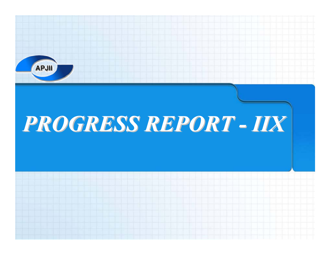

#### *PROGRESS PROGRESS REPORT -IIX*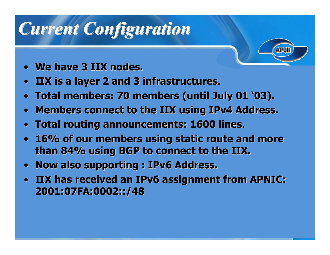# *Current Current Configuration Configuration*

- •**We have 3 IIX nodes. We have 3 IIX nodes.**
- •**IIX is a layer 2 and 3 infrastructures. IIX is a layer 2 and 3 infrastructures.**
- •**Total members: 70 members (until July 01 '03). Total members: 70 members (until July 01 '03).**
- •**Members connect to the IIX using IPv4 Address.**
- •**Total routing announcements: 1600 lines. Total routing announcements: 1600 lines.**
- **16% of our members using static route and more 16% of our members using static route and more than 84% using BGP to connect to the IIX. than 84% using BGP to connect to the IIX.**
- $\bullet$ **Now also supporting : IPv6 Address.**
- **IIX has received an IPv6 assignment from APNIC: IIX has received an IPv6 assignment from APNIC: 2001:07FA:0002::/48 2001:07FA:0002::/48**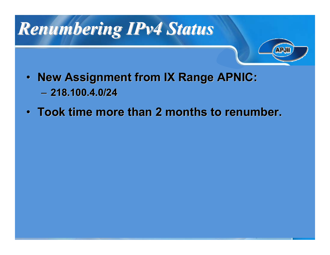## *Renumbering IPv4 Status Renumbering IPv4 Status*



- $\bullet$ **New Assignment from IX Range APNIC:** – **218.100.4.0/24 218.100.4.0/24**
- **Took time more than 2 months to renumber. Took time more than 2 months to renumber.**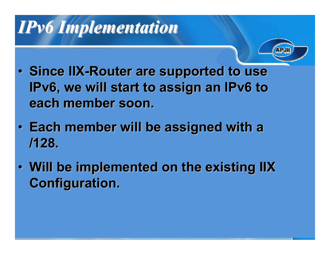### *IPv6 Implementation IPv6 Implementation*



- **Since IIX-Router are supported to use IPv6, we will start to assign an IPv6 to each member soon. each member soon.**
- **Each member will be assigned with a Each member will be assigned with a /128.**
- Will be implemented on the existing IIX **Configuration. Configuration.**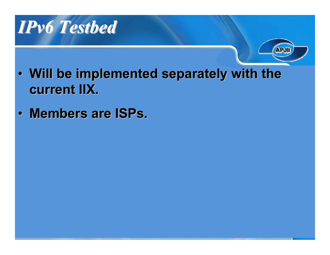



- Will be implemented separately with the **current IIX. current IIX.**
- •**Members are ISPs. Members are ISPs.**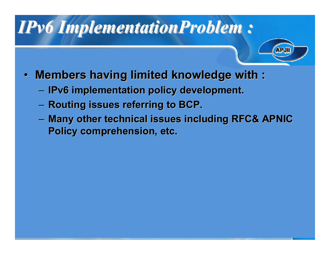#### *IPv6 ImplementationProblem ImplementationProblem :*

- 
- $\bullet$ **Members having limited knowledge with :** 
	- –**IPv6** implementation policy development.
	- – $-$  Routing issues referring to BCP.
	- – $-$  Many other technical issues including RFC& APNIC **Policy comprehension, etc.**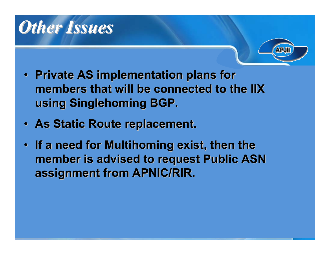## *Other Issues Other Issues*



- **Private AS implementation plans for Private AS implementation plans for members that will be connected to the IIX members that will be connected to the IIX using Singlehoming Singlehoming BGP.**
- **As Static Route replacement. As Static Route replacement.**
- If a need for Multihoming exist, then the **member is advised to request Public ASN member is advised to request Public ASN assignment from APNIC/RIR. assignment from APNIC/RIR.**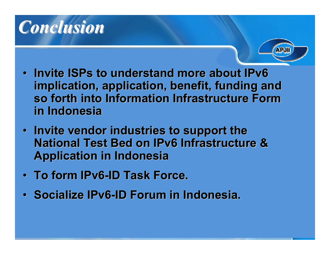



- **Invite ISPs to understand more about IPv6 implication, application, benefit, funding and implication, application, benefit, funding and so forth into Information Infrastructure Form so forth into Information Infrastructure Form in Indonesia in Indonesia**
- Invite vendor industries to support the **National Test Bed on IPv6 Infrastructure & National Test Bed on IPv6 Infrastructure & Application in Indonesia Application in Indonesia**
- **To form IPv6-ID Task Force.**
- **Socialize IPv6-ID Forum in Indonesia.**